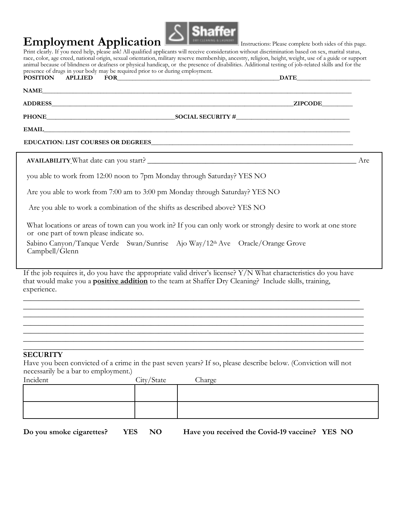## **Employment Application**  $\blacksquare$ Instructions: Please complete both sides of this page.



Print clearly. If you need help, please ask! All qualified applicants will receive consideration without discrimination based on sex, marital status, race, color, age creed, national origin, sexual orientation, military reserve membership, ancestry, religion, height, weight, use of a guide or support animal because of blindness or deafness or physical handicap, or the presence of disabilities. Additional testing of job-related skills and for the presence of drugs in your body may be required prior to or during employment. **POSITION APLLIED FOR**   $\blacksquare$ 

|  | . . | _______ |  |
|--|-----|---------|--|
|  |     |         |  |
|  |     |         |  |
|  |     |         |  |
|  |     |         |  |
|  |     |         |  |
|  |     |         |  |
|  |     |         |  |
|  |     |         |  |

**NAME\_\_\_\_\_\_\_\_\_\_\_\_\_\_\_\_\_\_\_\_\_\_\_\_\_\_\_\_\_\_\_\_\_\_\_\_\_\_\_\_\_\_\_\_\_\_\_\_\_\_\_\_\_\_\_\_\_\_\_\_\_\_\_\_\_\_\_\_\_\_\_\_\_\_\_\_\_\_\_\_\_\_\_\_\_\_\_\_\_\_\_\_\_\_\_\_\_\_\_\_\_** 

**ADDRESS\_\_\_\_\_\_\_\_\_\_\_\_\_\_\_\_\_\_\_\_\_\_\_\_\_\_\_\_\_\_\_\_\_\_\_\_\_\_\_\_\_\_\_\_\_\_\_\_\_\_\_\_\_\_\_\_\_\_\_\_\_\_\_\_\_\_\_\_\_\_\_\_\_\_\_\_\_\_\_ZIPCODE\_\_\_\_\_\_\_\_\_\_** 

**PHONE\_\_\_\_\_\_\_\_\_\_\_\_\_\_\_\_\_\_\_\_\_\_\_\_\_\_\_\_\_\_\_\_\_\_\_\_\_\_\_\_\_\_SOCIAL SECURITY #\_\_\_\_\_\_\_\_\_\_\_\_\_\_\_\_\_\_\_\_\_\_\_\_\_\_\_\_\_\_\_\_\_\_\_\_\_** 

**EMAIL\_\_\_\_\_\_\_\_\_\_\_\_\_\_\_\_\_\_\_\_\_\_\_\_\_\_\_\_\_\_\_\_\_\_\_\_\_\_\_\_\_\_\_\_\_\_\_\_\_\_\_\_\_\_\_\_\_\_\_\_\_\_\_\_\_\_\_\_\_\_\_\_\_\_\_\_\_\_\_\_\_\_\_\_\_\_\_\_\_\_\_\_\_\_\_\_\_\_\_\_**

**EDUCATION: LIST COURSES OR DEGREES** 

**AVAILABILITY** What date can you start? \_\_\_\_\_\_\_\_\_\_\_\_\_\_\_\_\_\_\_\_\_\_\_\_\_\_\_\_\_\_\_\_\_\_\_\_\_\_\_\_\_\_\_\_\_\_\_\_\_\_\_\_\_\_ Are

you able to work from 12:00 noon to 7pm Monday through Saturday? YES NO

Are you able to work from 7:00 am to 3:00 pm Monday through Saturday? YES NO

Are you able to work a combination of the shifts as described above? YES NO

What locations or areas of town can you work in? If you can only work or strongly desire to work at one store or one part of town please indicate so.

Sabino Canyon/Tanque Verde Swan/Sunrise Ajo Way/12th Ave Oracle/Orange Grove Campbell/Glenn

If the job requires it, do you have the appropriate valid driver's license? Y/N What characteristics do you have that would make you a **positive addition** to the team at Shaffer Dry Cleaning? Include skills, training, experience.

 $\_$  , and the set of the set of the set of the set of the set of the set of the set of the set of the set of the set of the set of the set of the set of the set of the set of the set of the set of the set of the set of th \_\_\_\_\_\_\_\_\_\_\_\_\_\_\_\_\_\_\_\_\_\_\_\_\_\_\_\_\_\_\_\_\_\_\_\_\_\_\_\_\_\_\_\_\_\_\_\_\_\_\_\_\_\_\_\_\_\_\_\_\_\_\_\_\_\_\_\_\_\_\_\_\_\_\_\_\_\_\_\_\_\_\_\_\_\_\_\_ \_\_\_\_\_\_\_\_\_\_\_\_\_\_\_\_\_\_\_\_\_\_\_\_\_\_\_\_\_\_\_\_\_\_\_\_\_\_\_\_\_\_\_\_\_\_\_\_\_\_\_\_\_\_\_\_\_\_\_\_\_\_\_\_\_\_\_\_\_\_\_\_\_\_\_\_\_\_\_\_\_\_\_\_\_\_\_\_ **\_\_\_\_\_\_\_\_\_\_\_\_\_\_\_\_\_\_\_\_\_\_\_\_\_\_\_\_\_\_\_\_\_\_\_\_\_\_\_\_\_\_\_\_\_\_\_\_\_\_\_\_\_\_\_\_\_\_\_\_\_\_\_\_\_\_\_\_\_\_\_\_\_\_\_\_\_\_\_\_\_\_\_\_\_\_\_\_ \_\_\_\_\_\_\_\_\_\_\_\_\_\_\_\_\_\_\_\_\_\_\_\_\_\_\_\_\_\_\_\_\_\_\_\_\_\_\_\_\_\_\_\_\_\_\_\_\_\_\_\_\_\_\_\_\_\_\_\_\_\_\_\_\_\_\_\_\_\_\_\_\_\_\_\_\_\_\_\_\_\_\_\_\_\_\_\_ \_\_\_\_\_\_\_\_\_\_\_\_\_\_\_\_\_\_\_\_\_\_\_\_\_\_\_\_\_\_\_\_\_\_\_\_\_\_\_\_\_\_\_\_\_\_\_\_\_\_\_\_\_\_\_\_\_\_\_\_\_\_\_\_\_\_\_\_\_\_\_\_\_\_\_\_\_\_\_\_\_\_\_\_\_\_\_\_ \_\_\_\_\_\_\_\_\_\_\_\_\_\_\_\_\_\_\_\_\_\_\_\_\_\_\_\_\_\_\_\_\_\_\_\_\_\_\_\_\_\_\_\_\_\_\_\_\_\_\_\_\_\_\_\_\_\_\_\_\_\_\_\_\_\_\_\_\_\_\_\_\_\_\_\_\_\_\_\_\_\_\_\_\_\_\_\_** 

## **SECURITY**

Have you been convicted of a crime in the past seven years? If so, please describe below. (Conviction will not necessarily be a bar to employment.)

| Incident | City/State | Charge |
|----------|------------|--------|
|          |            |        |
|          |            |        |
|          |            |        |
|          |            |        |

**Do you smoke cigarettes? YES NO Have you received the Covid-19 vaccine? YES NO**